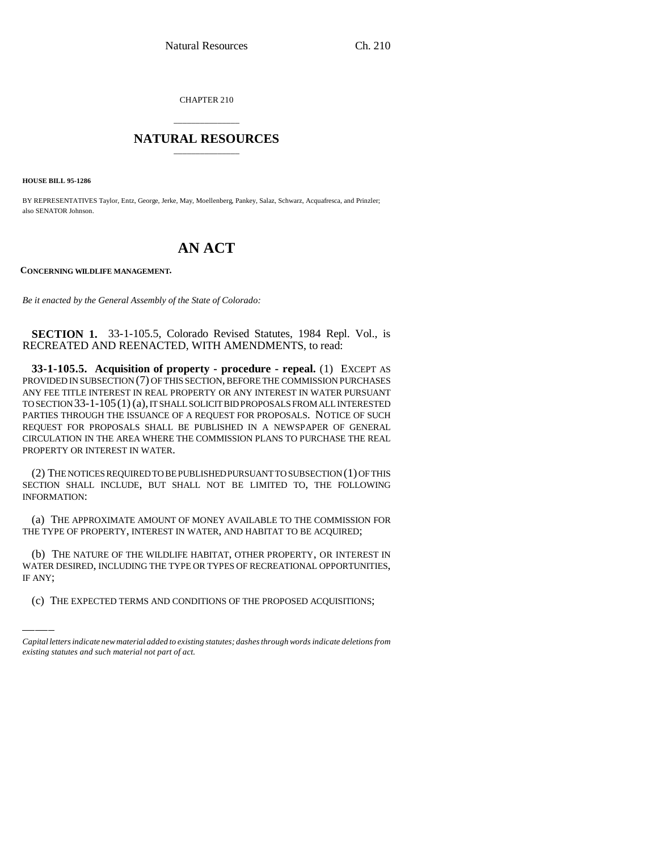CHAPTER 210

## \_\_\_\_\_\_\_\_\_\_\_\_\_\_\_ **NATURAL RESOURCES** \_\_\_\_\_\_\_\_\_\_\_\_\_\_\_

**HOUSE BILL 95-1286**

BY REPRESENTATIVES Taylor, Entz, George, Jerke, May, Moellenberg, Pankey, Salaz, Schwarz, Acquafresca, and Prinzler; also SENATOR Johnson.

## **AN ACT**

**CONCERNING WILDLIFE MANAGEMENT.**

*Be it enacted by the General Assembly of the State of Colorado:*

**SECTION 1.** 33-1-105.5, Colorado Revised Statutes, 1984 Repl. Vol., is RECREATED AND REENACTED, WITH AMENDMENTS, to read:

**33-1-105.5. Acquisition of property - procedure - repeal.** (1) EXCEPT AS PROVIDED IN SUBSECTION (7) OF THIS SECTION, BEFORE THE COMMISSION PURCHASES ANY FEE TITLE INTEREST IN REAL PROPERTY OR ANY INTEREST IN WATER PURSUANT TO SECTION 33-1-105(1) (a), IT SHALL SOLICIT BID PROPOSALS FROM ALL INTERESTED PARTIES THROUGH THE ISSUANCE OF A REQUEST FOR PROPOSALS. NOTICE OF SUCH REQUEST FOR PROPOSALS SHALL BE PUBLISHED IN A NEWSPAPER OF GENERAL CIRCULATION IN THE AREA WHERE THE COMMISSION PLANS TO PURCHASE THE REAL PROPERTY OR INTEREST IN WATER.

(2) THE NOTICES REQUIRED TO BE PUBLISHED PURSUANT TO SUBSECTION (1) OF THIS SECTION SHALL INCLUDE, BUT SHALL NOT BE LIMITED TO, THE FOLLOWING INFORMATION:

(a) THE APPROXIMATE AMOUNT OF MONEY AVAILABLE TO THE COMMISSION FOR THE TYPE OF PROPERTY, INTEREST IN WATER, AND HABITAT TO BE ACQUIRED;

(b) THE NATURE OF THE WILDLIFE HABITAT, OTHER PROPERTY, OR INTEREST IN WATER DESIRED, INCLUDING THE TYPE OR TYPES OF RECREATIONAL OPPORTUNITIES, IF ANY;

(c) THE EXPECTED TERMS AND CONDITIONS OF THE PROPOSED ACQUISITIONS;

*Capital letters indicate new material added to existing statutes; dashes through words indicate deletions from existing statutes and such material not part of act.*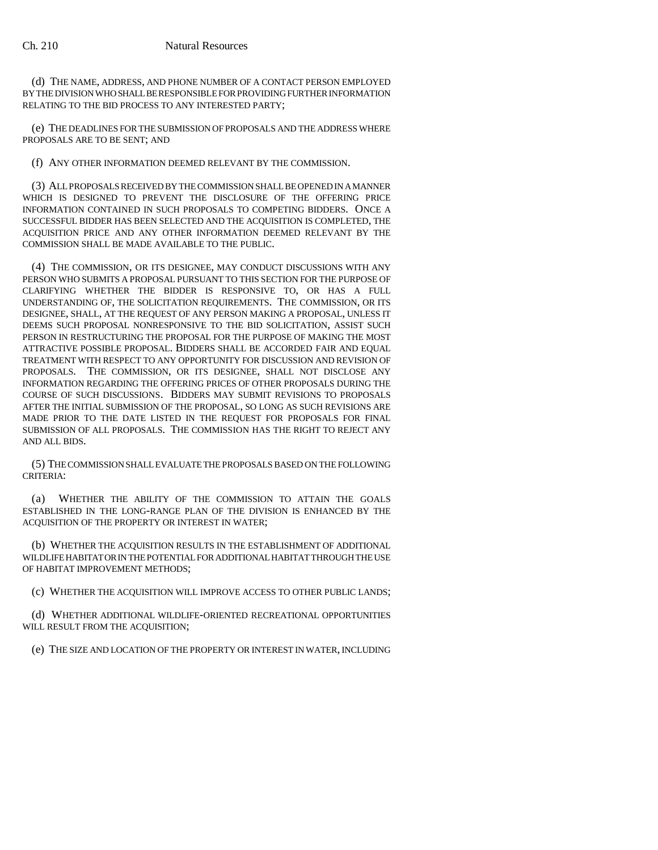(d) THE NAME, ADDRESS, AND PHONE NUMBER OF A CONTACT PERSON EMPLOYED BY THE DIVISION WHO SHALL BE RESPONSIBLE FOR PROVIDING FURTHER INFORMATION RELATING TO THE BID PROCESS TO ANY INTERESTED PARTY;

(e) THE DEADLINES FOR THE SUBMISSION OF PROPOSALS AND THE ADDRESS WHERE PROPOSALS ARE TO BE SENT; AND

(f) ANY OTHER INFORMATION DEEMED RELEVANT BY THE COMMISSION.

(3) ALL PROPOSALS RECEIVED BY THE COMMISSION SHALL BE OPENED IN A MANNER WHICH IS DESIGNED TO PREVENT THE DISCLOSURE OF THE OFFERING PRICE INFORMATION CONTAINED IN SUCH PROPOSALS TO COMPETING BIDDERS. ONCE A SUCCESSFUL BIDDER HAS BEEN SELECTED AND THE ACQUISITION IS COMPLETED, THE ACQUISITION PRICE AND ANY OTHER INFORMATION DEEMED RELEVANT BY THE COMMISSION SHALL BE MADE AVAILABLE TO THE PUBLIC.

(4) THE COMMISSION, OR ITS DESIGNEE, MAY CONDUCT DISCUSSIONS WITH ANY PERSON WHO SUBMITS A PROPOSAL PURSUANT TO THIS SECTION FOR THE PURPOSE OF CLARIFYING WHETHER THE BIDDER IS RESPONSIVE TO, OR HAS A FULL UNDERSTANDING OF, THE SOLICITATION REQUIREMENTS. THE COMMISSION, OR ITS DESIGNEE, SHALL, AT THE REQUEST OF ANY PERSON MAKING A PROPOSAL, UNLESS IT DEEMS SUCH PROPOSAL NONRESPONSIVE TO THE BID SOLICITATION, ASSIST SUCH PERSON IN RESTRUCTURING THE PROPOSAL FOR THE PURPOSE OF MAKING THE MOST ATTRACTIVE POSSIBLE PROPOSAL. BIDDERS SHALL BE ACCORDED FAIR AND EQUAL TREATMENT WITH RESPECT TO ANY OPPORTUNITY FOR DISCUSSION AND REVISION OF PROPOSALS. THE COMMISSION, OR ITS DESIGNEE, SHALL NOT DISCLOSE ANY INFORMATION REGARDING THE OFFERING PRICES OF OTHER PROPOSALS DURING THE COURSE OF SUCH DISCUSSIONS. BIDDERS MAY SUBMIT REVISIONS TO PROPOSALS AFTER THE INITIAL SUBMISSION OF THE PROPOSAL, SO LONG AS SUCH REVISIONS ARE MADE PRIOR TO THE DATE LISTED IN THE REQUEST FOR PROPOSALS FOR FINAL SUBMISSION OF ALL PROPOSALS. THE COMMISSION HAS THE RIGHT TO REJECT ANY AND ALL BIDS.

(5) THE COMMISSION SHALL EVALUATE THE PROPOSALS BASED ON THE FOLLOWING CRITERIA:

(a) WHETHER THE ABILITY OF THE COMMISSION TO ATTAIN THE GOALS ESTABLISHED IN THE LONG-RANGE PLAN OF THE DIVISION IS ENHANCED BY THE ACQUISITION OF THE PROPERTY OR INTEREST IN WATER;

(b) WHETHER THE ACQUISITION RESULTS IN THE ESTABLISHMENT OF ADDITIONAL WILDLIFE HABITAT OR IN THE POTENTIAL FOR ADDITIONAL HABITAT THROUGH THE USE OF HABITAT IMPROVEMENT METHODS;

(c) WHETHER THE ACQUISITION WILL IMPROVE ACCESS TO OTHER PUBLIC LANDS;

(d) WHETHER ADDITIONAL WILDLIFE-ORIENTED RECREATIONAL OPPORTUNITIES WILL RESULT FROM THE ACQUISITION;

(e) THE SIZE AND LOCATION OF THE PROPERTY OR INTEREST IN WATER, INCLUDING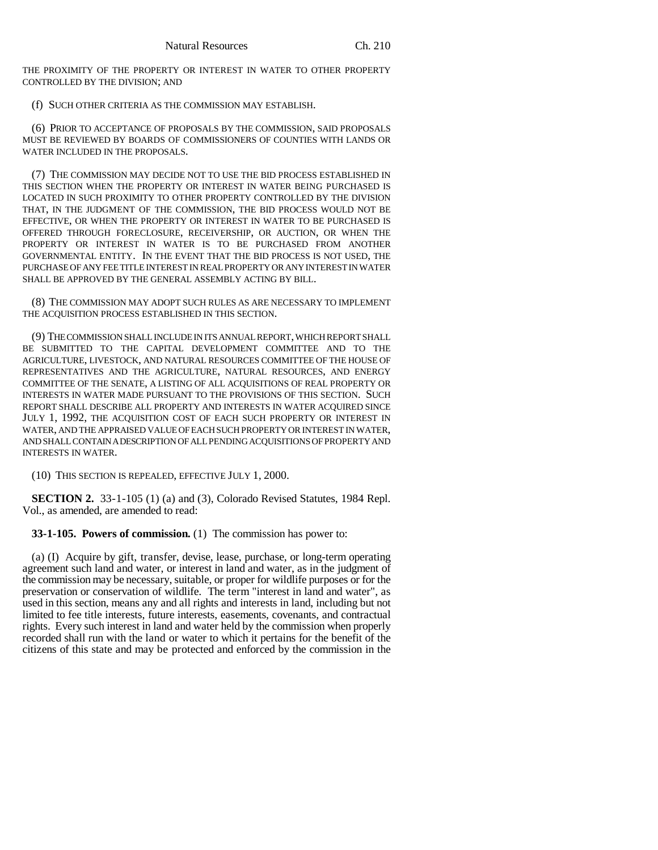THE PROXIMITY OF THE PROPERTY OR INTEREST IN WATER TO OTHER PROPERTY CONTROLLED BY THE DIVISION; AND

(f) SUCH OTHER CRITERIA AS THE COMMISSION MAY ESTABLISH.

(6) PRIOR TO ACCEPTANCE OF PROPOSALS BY THE COMMISSION, SAID PROPOSALS MUST BE REVIEWED BY BOARDS OF COMMISSIONERS OF COUNTIES WITH LANDS OR WATER INCLUDED IN THE PROPOSALS.

(7) THE COMMISSION MAY DECIDE NOT TO USE THE BID PROCESS ESTABLISHED IN THIS SECTION WHEN THE PROPERTY OR INTEREST IN WATER BEING PURCHASED IS LOCATED IN SUCH PROXIMITY TO OTHER PROPERTY CONTROLLED BY THE DIVISION THAT, IN THE JUDGMENT OF THE COMMISSION, THE BID PROCESS WOULD NOT BE EFFECTIVE, OR WHEN THE PROPERTY OR INTEREST IN WATER TO BE PURCHASED IS OFFERED THROUGH FORECLOSURE, RECEIVERSHIP, OR AUCTION, OR WHEN THE PROPERTY OR INTEREST IN WATER IS TO BE PURCHASED FROM ANOTHER GOVERNMENTAL ENTITY. IN THE EVENT THAT THE BID PROCESS IS NOT USED, THE PURCHASE OF ANY FEE TITLE INTEREST IN REAL PROPERTY OR ANY INTEREST IN WATER SHALL BE APPROVED BY THE GENERAL ASSEMBLY ACTING BY BILL.

(8) THE COMMISSION MAY ADOPT SUCH RULES AS ARE NECESSARY TO IMPLEMENT THE ACQUISITION PROCESS ESTABLISHED IN THIS SECTION.

(9) THE COMMISSION SHALL INCLUDE IN ITS ANNUAL REPORT, WHICH REPORT SHALL BE SUBMITTED TO THE CAPITAL DEVELOPMENT COMMITTEE AND TO THE AGRICULTURE, LIVESTOCK, AND NATURAL RESOURCES COMMITTEE OF THE HOUSE OF REPRESENTATIVES AND THE AGRICULTURE, NATURAL RESOURCES, AND ENERGY COMMITTEE OF THE SENATE, A LISTING OF ALL ACQUISITIONS OF REAL PROPERTY OR INTERESTS IN WATER MADE PURSUANT TO THE PROVISIONS OF THIS SECTION. SUCH REPORT SHALL DESCRIBE ALL PROPERTY AND INTERESTS IN WATER ACQUIRED SINCE JULY 1, 1992, THE ACQUISITION COST OF EACH SUCH PROPERTY OR INTEREST IN WATER, AND THE APPRAISED VALUE OF EACH SUCH PROPERTY OR INTEREST IN WATER, AND SHALL CONTAIN A DESCRIPTION OF ALL PENDING ACQUISITIONS OF PROPERTY AND INTERESTS IN WATER.

(10) THIS SECTION IS REPEALED, EFFECTIVE JULY 1, 2000.

**SECTION 2.** 33-1-105 (1) (a) and (3), Colorado Revised Statutes, 1984 Repl. Vol., as amended, are amended to read:

**33-1-105. Powers of commission.** (1) The commission has power to:

(a) (I) Acquire by gift, transfer, devise, lease, purchase, or long-term operating agreement such land and water, or interest in land and water, as in the judgment of the commission may be necessary, suitable, or proper for wildlife purposes or for the preservation or conservation of wildlife. The term "interest in land and water", as used in this section, means any and all rights and interests in land, including but not limited to fee title interests, future interests, easements, covenants, and contractual rights. Every such interest in land and water held by the commission when properly recorded shall run with the land or water to which it pertains for the benefit of the citizens of this state and may be protected and enforced by the commission in the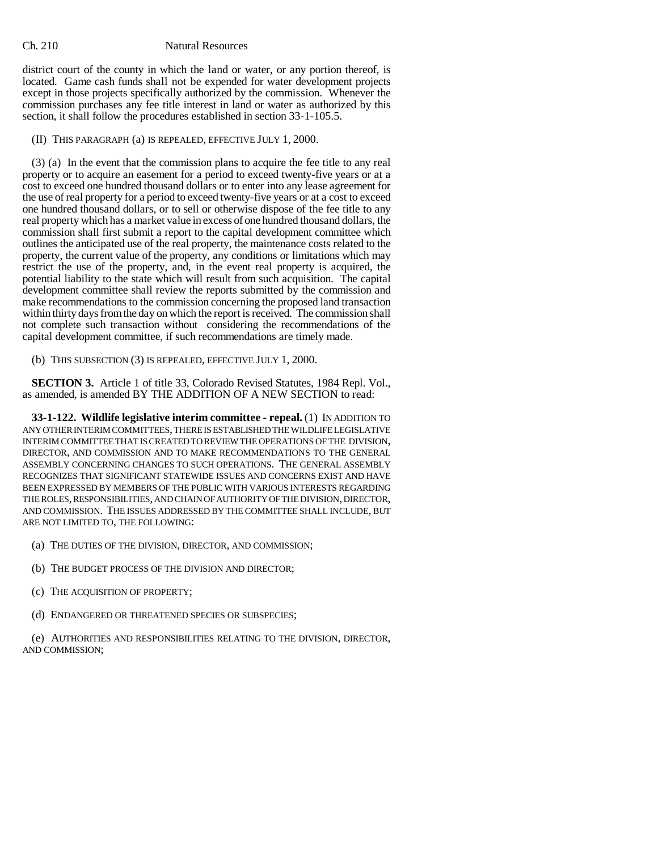## Ch. 210 Natural Resources

district court of the county in which the land or water, or any portion thereof, is located. Game cash funds shall not be expended for water development projects except in those projects specifically authorized by the commission. Whenever the commission purchases any fee title interest in land or water as authorized by this section, it shall follow the procedures established in section 33-1-105.5.

(II) THIS PARAGRAPH (a) IS REPEALED, EFFECTIVE JULY 1, 2000.

(3) (a) In the event that the commission plans to acquire the fee title to any real property or to acquire an easement for a period to exceed twenty-five years or at a cost to exceed one hundred thousand dollars or to enter into any lease agreement for the use of real property for a period to exceed twenty-five years or at a cost to exceed one hundred thousand dollars, or to sell or otherwise dispose of the fee title to any real property which has a market value in excess of one hundred thousand dollars, the commission shall first submit a report to the capital development committee which outlines the anticipated use of the real property, the maintenance costs related to the property, the current value of the property, any conditions or limitations which may restrict the use of the property, and, in the event real property is acquired, the potential liability to the state which will result from such acquisition. The capital development committee shall review the reports submitted by the commission and make recommendations to the commission concerning the proposed land transaction within thirty days from the day on which the report is received. The commission shall not complete such transaction without considering the recommendations of the capital development committee, if such recommendations are timely made.

(b) THIS SUBSECTION (3) IS REPEALED, EFFECTIVE JULY 1, 2000.

**SECTION 3.** Article 1 of title 33, Colorado Revised Statutes, 1984 Repl. Vol., as amended, is amended BY THE ADDITION OF A NEW SECTION to read:

**33-1-122. Wildlife legislative interim committee - repeal.** (1) IN ADDITION TO ANY OTHER INTERIM COMMITTEES, THERE IS ESTABLISHED THE WILDLIFE LEGISLATIVE INTERIM COMMITTEE THAT IS CREATED TO REVIEW THE OPERATIONS OF THE DIVISION, DIRECTOR, AND COMMISSION AND TO MAKE RECOMMENDATIONS TO THE GENERAL ASSEMBLY CONCERNING CHANGES TO SUCH OPERATIONS. THE GENERAL ASSEMBLY RECOGNIZES THAT SIGNIFICANT STATEWIDE ISSUES AND CONCERNS EXIST AND HAVE BEEN EXPRESSED BY MEMBERS OF THE PUBLIC WITH VARIOUS INTERESTS REGARDING THE ROLES, RESPONSIBILITIES, AND CHAIN OF AUTHORITY OF THE DIVISION, DIRECTOR, AND COMMISSION. THE ISSUES ADDRESSED BY THE COMMITTEE SHALL INCLUDE, BUT ARE NOT LIMITED TO, THE FOLLOWING:

- (a) THE DUTIES OF THE DIVISION, DIRECTOR, AND COMMISSION;
- (b) THE BUDGET PROCESS OF THE DIVISION AND DIRECTOR;
- (c) THE ACQUISITION OF PROPERTY;
- (d) ENDANGERED OR THREATENED SPECIES OR SUBSPECIES;

(e) AUTHORITIES AND RESPONSIBILITIES RELATING TO THE DIVISION, DIRECTOR, AND COMMISSION;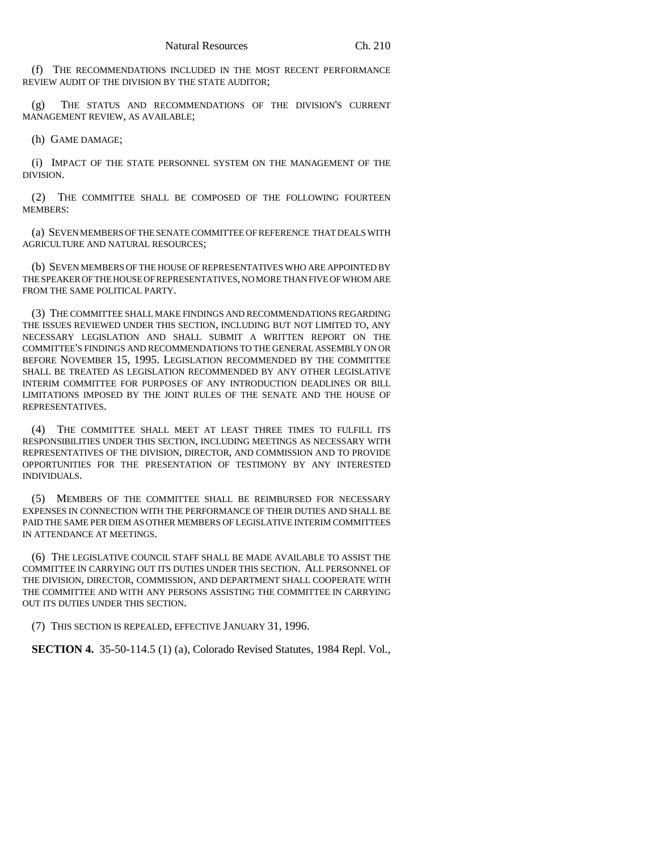(f) THE RECOMMENDATIONS INCLUDED IN THE MOST RECENT PERFORMANCE REVIEW AUDIT OF THE DIVISION BY THE STATE AUDITOR;

(g) THE STATUS AND RECOMMENDATIONS OF THE DIVISION'S CURRENT MANAGEMENT REVIEW, AS AVAILABLE;

(h) GAME DAMAGE;

(i) IMPACT OF THE STATE PERSONNEL SYSTEM ON THE MANAGEMENT OF THE DIVISION.

(2) THE COMMITTEE SHALL BE COMPOSED OF THE FOLLOWING FOURTEEN MEMBERS:

(a) SEVEN MEMBERS OF THE SENATE COMMITTEE OF REFERENCE THAT DEALS WITH AGRICULTURE AND NATURAL RESOURCES;

(b) SEVEN MEMBERS OF THE HOUSE OF REPRESENTATIVES WHO ARE APPOINTED BY THE SPEAKER OF THE HOUSE OF REPRESENTATIVES, NO MORE THAN FIVE OF WHOM ARE FROM THE SAME POLITICAL PARTY.

(3) THE COMMITTEE SHALL MAKE FINDINGS AND RECOMMENDATIONS REGARDING THE ISSUES REVIEWED UNDER THIS SECTION, INCLUDING BUT NOT LIMITED TO, ANY NECESSARY LEGISLATION AND SHALL SUBMIT A WRITTEN REPORT ON THE COMMITTEE'S FINDINGS AND RECOMMENDATIONS TO THE GENERAL ASSEMBLY ON OR BEFORE NOVEMBER 15, 1995. LEGISLATION RECOMMENDED BY THE COMMITTEE SHALL BE TREATED AS LEGISLATION RECOMMENDED BY ANY OTHER LEGISLATIVE INTERIM COMMITTEE FOR PURPOSES OF ANY INTRODUCTION DEADLINES OR BILL LIMITATIONS IMPOSED BY THE JOINT RULES OF THE SENATE AND THE HOUSE OF REPRESENTATIVES.

(4) THE COMMITTEE SHALL MEET AT LEAST THREE TIMES TO FULFILL ITS RESPONSIBILITIES UNDER THIS SECTION, INCLUDING MEETINGS AS NECESSARY WITH REPRESENTATIVES OF THE DIVISION, DIRECTOR, AND COMMISSION AND TO PROVIDE OPPORTUNITIES FOR THE PRESENTATION OF TESTIMONY BY ANY INTERESTED INDIVIDUALS.

(5) MEMBERS OF THE COMMITTEE SHALL BE REIMBURSED FOR NECESSARY EXPENSES IN CONNECTION WITH THE PERFORMANCE OF THEIR DUTIES AND SHALL BE PAID THE SAME PER DIEM AS OTHER MEMBERS OF LEGISLATIVE INTERIM COMMITTEES IN ATTENDANCE AT MEETINGS.

(6) THE LEGISLATIVE COUNCIL STAFF SHALL BE MADE AVAILABLE TO ASSIST THE COMMITTEE IN CARRYING OUT ITS DUTIES UNDER THIS SECTION. ALL PERSONNEL OF THE DIVISION, DIRECTOR, COMMISSION, AND DEPARTMENT SHALL COOPERATE WITH THE COMMITTEE AND WITH ANY PERSONS ASSISTING THE COMMITTEE IN CARRYING OUT ITS DUTIES UNDER THIS SECTION.

(7) THIS SECTION IS REPEALED, EFFECTIVE JANUARY 31, 1996.

**SECTION 4.** 35-50-114.5 (1) (a), Colorado Revised Statutes, 1984 Repl. Vol.,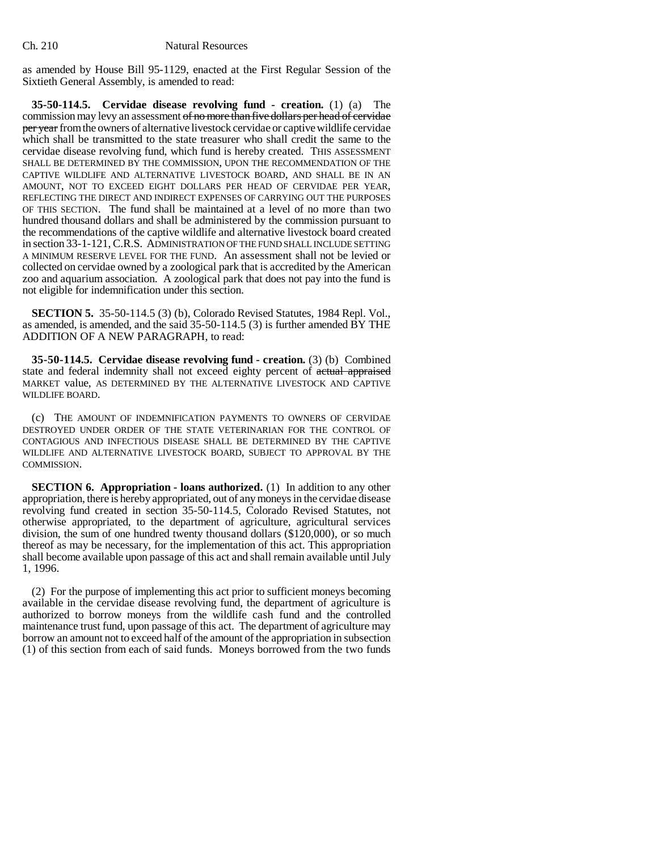as amended by House Bill 95-1129, enacted at the First Regular Session of the Sixtieth General Assembly, is amended to read:

**35-50-114.5. Cervidae disease revolving fund - creation.** (1) (a) The commission may levy an assessment of no more than five dollars per head of cervidae per year from the owners of alternative livestock cervidae or captive wildlife cervidae which shall be transmitted to the state treasurer who shall credit the same to the cervidae disease revolving fund, which fund is hereby created. THIS ASSESSMENT SHALL BE DETERMINED BY THE COMMISSION, UPON THE RECOMMENDATION OF THE CAPTIVE WILDLIFE AND ALTERNATIVE LIVESTOCK BOARD, AND SHALL BE IN AN AMOUNT, NOT TO EXCEED EIGHT DOLLARS PER HEAD OF CERVIDAE PER YEAR, REFLECTING THE DIRECT AND INDIRECT EXPENSES OF CARRYING OUT THE PURPOSES OF THIS SECTION. The fund shall be maintained at a level of no more than two hundred thousand dollars and shall be administered by the commission pursuant to the recommendations of the captive wildlife and alternative livestock board created in section 33-1-121, C.R.S. ADMINISTRATION OF THE FUND SHALL INCLUDE SETTING A MINIMUM RESERVE LEVEL FOR THE FUND. An assessment shall not be levied or collected on cervidae owned by a zoological park that is accredited by the American zoo and aquarium association. A zoological park that does not pay into the fund is not eligible for indemnification under this section.

**SECTION 5.** 35-50-114.5 (3) (b), Colorado Revised Statutes, 1984 Repl. Vol., as amended, is amended, and the said  $35-50-114.5$  (3) is further amended  $\overrightarrow{BY}$  THE ADDITION OF A NEW PARAGRAPH, to read:

**35-50-114.5. Cervidae disease revolving fund - creation.** (3) (b) Combined state and federal indemnity shall not exceed eighty percent of actual appraised MARKET value, AS DETERMINED BY THE ALTERNATIVE LIVESTOCK AND CAPTIVE WILDLIFE BOARD.

(c) THE AMOUNT OF INDEMNIFICATION PAYMENTS TO OWNERS OF CERVIDAE DESTROYED UNDER ORDER OF THE STATE VETERINARIAN FOR THE CONTROL OF CONTAGIOUS AND INFECTIOUS DISEASE SHALL BE DETERMINED BY THE CAPTIVE WILDLIFE AND ALTERNATIVE LIVESTOCK BOARD, SUBJECT TO APPROVAL BY THE COMMISSION.

**SECTION 6. Appropriation - loans authorized.** (1) In addition to any other appropriation, there is hereby appropriated, out of any moneys in the cervidae disease revolving fund created in section 35-50-114.5, Colorado Revised Statutes, not otherwise appropriated, to the department of agriculture, agricultural services division, the sum of one hundred twenty thousand dollars (\$120,000), or so much thereof as may be necessary, for the implementation of this act. This appropriation shall become available upon passage of this act and shall remain available until July 1, 1996.

(2) For the purpose of implementing this act prior to sufficient moneys becoming available in the cervidae disease revolving fund, the department of agriculture is authorized to borrow moneys from the wildlife cash fund and the controlled maintenance trust fund, upon passage of this act. The department of agriculture may borrow an amount not to exceed half of the amount of the appropriation in subsection (1) of this section from each of said funds. Moneys borrowed from the two funds